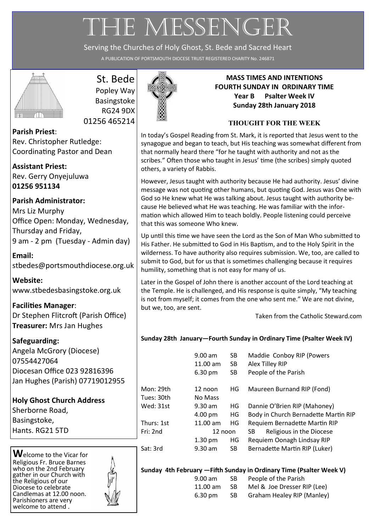# THE MESSENGER

Serving the Churches of Holy Ghost, St. Bede and Sacred Heart

A PUBLICATION OF PORTSMOUTH DIOCESE TRUST REGISTERED CHARITY No. 246871



# St. Bede

Popley Way Basingstoke RG24 9DX 01256 465214

**Parish Priest**: Rev. Christopher Rutledge: Coordinating Pastor and Dean

**Assistant Priest:** Rev. Gerry Onyejuluwa **01256 951134**

# **Parish Administrator:**

Mrs Liz Murphy Office Open: Monday, Wednesday, Thursday and Friday, 9 am - 2 pm (Tuesday - Admin day)

**Email:**  [stbedes@portsmouthdiocese.org.uk](mailto:stbedes@portsmouthdiocese.org.uk)

**Website:**  [www.stbedesbasingstoke.org.uk](http://www.stbedesbasingstoke.org.uk)

**Facilities Manager**: Dr Stephen Flitcroft (Parish Office) **Treasurer:** Mrs Jan Hughes

# **Safeguarding:**

Angela McGrory (Diocese) 07554427064 Diocesan Office 023 92816396 Jan Hughes (Parish) 07719012955

**Holy Ghost Church Address** Sherborne Road, Basingstoke, Hants. RG21 5TD

**W**elcome to the Vicar for Religious Fr. Bruce Barnes who on the 2nd February gather in our Church with the Religious of our Diocese to celebrate Candlemas at 12.00 noon. Parishioners are very welcome to attend .





**MASS TIMES AND INTENTIONS FOURTH SUNDAY IN ORDINARY TIME Year B Psalter Week IV Sunday 28th January 2018**

# **THOUGHT FOR THE WEEK**

In today's Gospel Reading from St. Mark, it is reported that Jesus went to the synagogue and began to teach, but His teaching was somewhat different from that normally heard there "for he taught with authority and not as the scribes." Often those who taught in Jesus' time (the scribes) simply quoted others, a variety of Rabbis.

However, Jesus taught with authority because He had authority. Jesus' divine message was not quoting other humans, but quoting God. Jesus was One with God so He knew what He was talking about. Jesus taught with authority because He believed what He was teaching. He was familiar with the information which allowed Him to teach boldly. People listening could perceive that this was someone Who knew.

Up until this time we have seen the Lord as the Son of Man Who submitted to His Father. He submitted to God in His Baptism, and to the Holy Spirit in the wilderness. To have authority also requires submission. We, too, are called to submit to God, but for us that is sometimes challenging because it requires humility, something that is not easy for many of us.

Later in the Gospel of John there is another account of the Lord teaching at the Temple. He is challenged, and His response is quite simply, "My teaching is not from myself; it comes from the one who sent me." We are not divine, but we, too, are sent.

Taken from the Catholic Steward.com

# **Sunday 28th January—Fourth Sunday in Ordinary Time (Psalter Week IV)**

|                         | $9.00$ am<br>$11.00$ am<br>6.30 pm | SB.<br>SB.<br>SB. | Maddie Conboy RIP (Powers<br>Alex Tilley RIP<br>People of the Parish |
|-------------------------|------------------------------------|-------------------|----------------------------------------------------------------------|
| Mon: 29th<br>Tues: 30th | 12 noon<br>No Mass                 | HG                | Maureen Burnand RIP (Fond)                                           |
| Wed: 31st               | $9.30$ am                          | ΗG                | Dannie O'Brien RIP (Mahoney)                                         |
|                         | 4.00 pm                            | HG                | Body in Church Bernadette Martin RIP                                 |
| Thurs: 1st              | $11.00$ am                         | HG                | Requiem Bernadette Martin RIP                                        |
| Fri: 2nd                | 12 noon                            |                   | Religious in the Diocese<br>SB                                       |
|                         | $1.30 \text{ pm}$                  | HG.               | Requiem Oonagh Lindsay RIP                                           |
| Sat: 3rd                | $9.30$ am                          | <b>SB</b>         | Bernadette Martin RIP (Luker)                                        |
|                         |                                    |                   |                                                                      |

**Sunday 4th February —Fifth Sunday in Ordinary Time (Psalter Week V)**

| 9.00 am  | SB |
|----------|----|
| 11.00 am | SB |
| 6.30 pm  | SB |

People of the Parish Mel & Joe Dresser RIP (Lee) Graham Healey RIP (Manley)